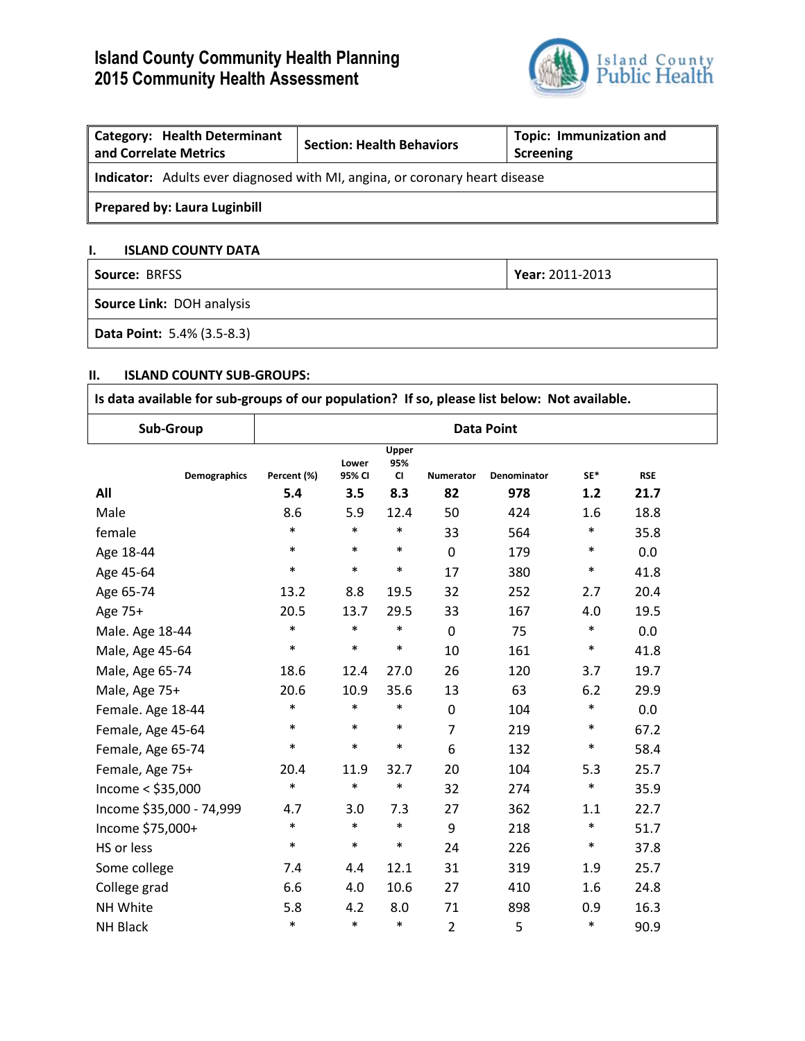# **Island County Community Health Planning 2015 Community Health Assessment**



| <b>Category: Health Determinant</b><br>and Correlate Metrics                       | <b>Section: Health Behaviors</b> | <b>Topic: Immunization and</b><br>Screening |  |  |  |
|------------------------------------------------------------------------------------|----------------------------------|---------------------------------------------|--|--|--|
| <b>Indicator:</b> Adults ever diagnosed with MI, angina, or coronary heart disease |                                  |                                             |  |  |  |
| <b>Prepared by: Laura Luginbill</b>                                                |                                  |                                             |  |  |  |

# **I. ISLAND COUNTY DATA**

| <b>Source: BRFSS</b>       | Year: 2011-2013 |  |  |
|----------------------------|-----------------|--|--|
| Source Link: DOH analysis  |                 |  |  |
| Data Point: 5.4% (3.5-8.3) |                 |  |  |

# **II. ISLAND COUNTY SUB-GROUPS:**

| Is data available for sub-groups of our population? If so, please list below: Not available. |                   |                 |                           |                  |                    |        |            |  |
|----------------------------------------------------------------------------------------------|-------------------|-----------------|---------------------------|------------------|--------------------|--------|------------|--|
| Sub-Group                                                                                    | <b>Data Point</b> |                 |                           |                  |                    |        |            |  |
| <b>Demographics</b>                                                                          | Percent (%)       | Lower<br>95% CI | Upper<br>95%<br><b>CI</b> | <b>Numerator</b> | <b>Denominator</b> | $SF*$  | <b>RSE</b> |  |
| All                                                                                          | 5.4               | 3.5             | 8.3                       | 82               | 978                | 1.2    | 21.7       |  |
| Male                                                                                         | 8.6               | 5.9             | 12.4                      | 50               | 424                | 1.6    | 18.8       |  |
| female                                                                                       | $\ast$            | $\ast$          | $\ast$                    | 33               | 564                | $\ast$ | 35.8       |  |
| Age 18-44                                                                                    | $\ast$            | $\ast$          | $\ast$                    | $\mathbf 0$      | 179                | $\ast$ | 0.0        |  |
| Age 45-64                                                                                    | $\ast$            | $\ast$          | $\ast$                    | 17               | 380                | $\ast$ | 41.8       |  |
| Age 65-74                                                                                    | 13.2              | 8.8             | 19.5                      | 32               | 252                | 2.7    | 20.4       |  |
| Age 75+                                                                                      | 20.5              | 13.7            | 29.5                      | 33               | 167                | 4.0    | 19.5       |  |
| Male. Age 18-44                                                                              | $\ast$            | $\ast$          | $\ast$                    | 0                | 75                 | $\ast$ | 0.0        |  |
| Male, Age 45-64                                                                              | $\ast$            | $\ast$          | $\ast$                    | 10               | 161                | $\ast$ | 41.8       |  |
| Male, Age 65-74                                                                              | 18.6              | 12.4            | 27.0                      | 26               | 120                | 3.7    | 19.7       |  |
| Male, Age 75+                                                                                | 20.6              | 10.9            | 35.6                      | 13               | 63                 | 6.2    | 29.9       |  |
| Female. Age 18-44                                                                            | $\ast$            | $\ast$          | $\ast$                    | $\pmb{0}$        | 104                | $\ast$ | 0.0        |  |
| Female, Age 45-64                                                                            | $\ast$            | $\ast$          | $\ast$                    | $\overline{7}$   | 219                | $\ast$ | 67.2       |  |
| Female, Age 65-74                                                                            | $\ast$            | $\ast$          | $\ast$                    | 6                | 132                | $\ast$ | 58.4       |  |
| Female, Age 75+                                                                              | 20.4              | 11.9            | 32.7                      | 20               | 104                | 5.3    | 25.7       |  |
| Income $<$ \$35,000                                                                          | $\ast$            | $\ast$          | $\ast$                    | 32               | 274                | $\ast$ | 35.9       |  |
| Income \$35,000 - 74,999                                                                     | 4.7               | 3.0             | 7.3                       | 27               | 362                | 1.1    | 22.7       |  |
| Income \$75,000+                                                                             | $\ast$            | $\ast$          | $\ast$                    | 9                | 218                | $\ast$ | 51.7       |  |
| HS or less                                                                                   | $\ast$            | $\ast$          | $\ast$                    | 24               | 226                | $\ast$ | 37.8       |  |
| Some college                                                                                 | 7.4               | 4.4             | 12.1                      | 31               | 319                | 1.9    | 25.7       |  |
| College grad                                                                                 | 6.6               | 4.0             | 10.6                      | 27               | 410                | 1.6    | 24.8       |  |
| NH White                                                                                     | 5.8               | 4.2             | 8.0                       | 71               | 898                | 0.9    | 16.3       |  |
| <b>NH Black</b>                                                                              | $\ast$            | $\ast$          | $\ast$                    | $\overline{2}$   | 5                  | $\ast$ | 90.9       |  |